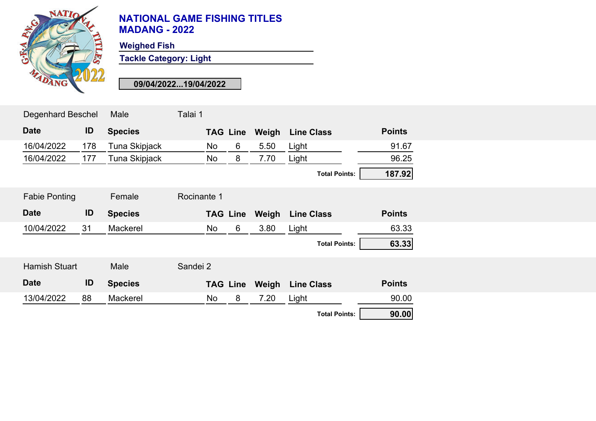

**Weighed Fish**

**Tackle Category: Light**

**09/04/2022...19/04/2022**

| <b>Degenhard Beschel</b> |     | Male           | Talai 1         |   |       |                      |               |  |
|--------------------------|-----|----------------|-----------------|---|-------|----------------------|---------------|--|
| <b>Date</b>              | ID  | <b>Species</b> | <b>TAG Line</b> |   | Weigh | <b>Line Class</b>    | <b>Points</b> |  |
| 16/04/2022               | 178 | Tuna Skipjack  | No              | 6 | 5.50  | Light                | 91.67         |  |
| 16/04/2022               | 177 | Tuna Skipjack  | No              | 8 | 7.70  | Light                | 96.25         |  |
|                          |     |                |                 |   |       | <b>Total Points:</b> | 187.92        |  |
| <b>Fabie Ponting</b>     |     | Female         | Rocinante 1     |   |       |                      |               |  |
| <b>Date</b>              | ID  | <b>Species</b> | <b>TAG Line</b> |   | Weigh | <b>Line Class</b>    | <b>Points</b> |  |
| 10/04/2022               | 31  | Mackerel       | No              | 6 | 3.80  | Light                | 63.33         |  |
|                          |     |                |                 |   |       | <b>Total Points:</b> | 63.33         |  |
| <b>Hamish Stuart</b>     |     | Male           | Sandei 2        |   |       |                      |               |  |
| <b>Date</b>              | ID  | <b>Species</b> | <b>TAG Line</b> |   | Weigh | <b>Line Class</b>    | <b>Points</b> |  |
| 13/04/2022               | 88  | Mackerel       | No              | 8 | 7.20  | Light                | 90.00         |  |
|                          |     |                |                 |   |       | <b>Total Points:</b> | 90.00         |  |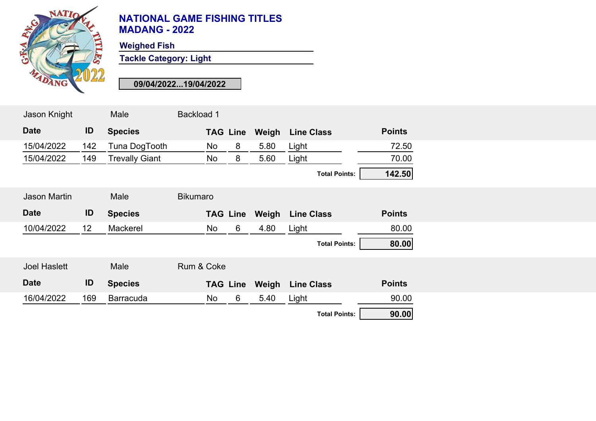

**Weighed Fish**

**Tackle Category: Light**

**09/04/2022...19/04/2022**

| Jason Knight        |                 | Male                  | <b>Backload 1</b> |    |                 |       |                      |               |
|---------------------|-----------------|-----------------------|-------------------|----|-----------------|-------|----------------------|---------------|
| <b>Date</b>         | ID              | <b>Species</b>        |                   |    | <b>TAG Line</b> | Weigh | <b>Line Class</b>    | <b>Points</b> |
| 15/04/2022          | 142             | Tuna DogTooth         |                   | No | 8               | 5.80  | Light                | 72.50         |
| 15/04/2022          | 149             | <b>Trevally Giant</b> |                   | No | 8               | 5.60  | Light                | 70.00         |
|                     |                 |                       |                   |    |                 |       | <b>Total Points:</b> | 142.50        |
| <b>Jason Martin</b> |                 | Male                  | <b>Bikumaro</b>   |    |                 |       |                      |               |
| <b>Date</b>         | ID              | <b>Species</b>        |                   |    | <b>TAG Line</b> | Weigh | <b>Line Class</b>    | <b>Points</b> |
| 10/04/2022          | 12 <sup>°</sup> | Mackerel              |                   | No | $6\phantom{1}$  | 4.80  | Light                | 80.00         |
|                     |                 |                       |                   |    |                 |       | <b>Total Points:</b> | 80.00         |
| <b>Joel Haslett</b> |                 | Male                  | Rum & Coke        |    |                 |       |                      |               |
| <b>Date</b>         | ID              | <b>Species</b>        |                   |    | <b>TAG Line</b> | Weigh | <b>Line Class</b>    | <b>Points</b> |
| 16/04/2022          | 169             | <b>Barracuda</b>      |                   | No | 6               | 5.40  | Light                | 90.00         |
|                     |                 |                       |                   |    |                 |       | <b>Total Points:</b> | 90.00         |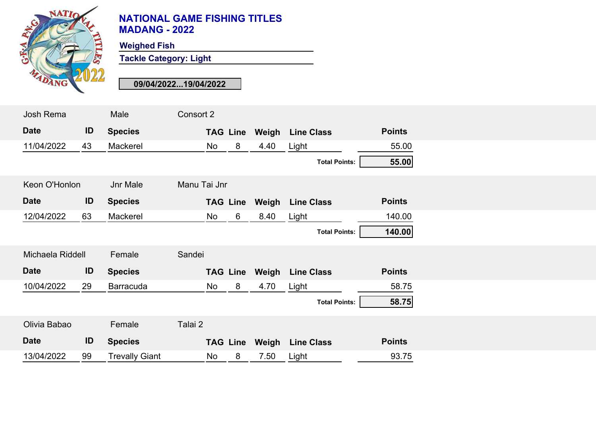

**Weighed Fish**

**Tackle Category: Light**

**09/04/2022...19/04/2022**

| Josh Rema        |    | Male             | Consort 2    |    |                 |       |                      |               |
|------------------|----|------------------|--------------|----|-----------------|-------|----------------------|---------------|
| <b>Date</b>      | ID | <b>Species</b>   |              |    | <b>TAG Line</b> | Weigh | <b>Line Class</b>    | <b>Points</b> |
| 11/04/2022       | 43 | Mackerel         |              | No | 8               | 4.40  | Light                | 55.00         |
|                  |    |                  |              |    |                 |       | <b>Total Points:</b> | 55.00         |
| Keon O'Honlon    |    | Jnr Male         | Manu Tai Jnr |    |                 |       |                      |               |
| <b>Date</b>      | ID | <b>Species</b>   |              |    | <b>TAG Line</b> | Weigh | <b>Line Class</b>    | <b>Points</b> |
| 12/04/2022       | 63 | Mackerel         |              | No | 6               | 8.40  | Light                | 140.00        |
|                  |    |                  |              |    |                 |       | <b>Total Points:</b> | 140.00        |
| Michaela Riddell |    | Female           | Sandei       |    |                 |       |                      |               |
| <b>Date</b>      | ID | <b>Species</b>   |              |    | <b>TAG Line</b> | Weigh | <b>Line Class</b>    | <b>Points</b> |
| 10/04/2022       | 29 | <b>Barracuda</b> |              | No | 8               | 4.70  | Light                | 58.75         |
|                  |    |                  |              |    |                 |       | <b>Total Points:</b> | 58.75         |
| Olivia Babao     |    | Female           | Talai 2      |    |                 |       |                      |               |
| <b>Date</b>      | ID | <b>Species</b>   |              |    |                 |       |                      | <b>Points</b> |
|                  |    |                  |              |    | <b>TAG Line</b> | Weigh | <b>Line Class</b>    |               |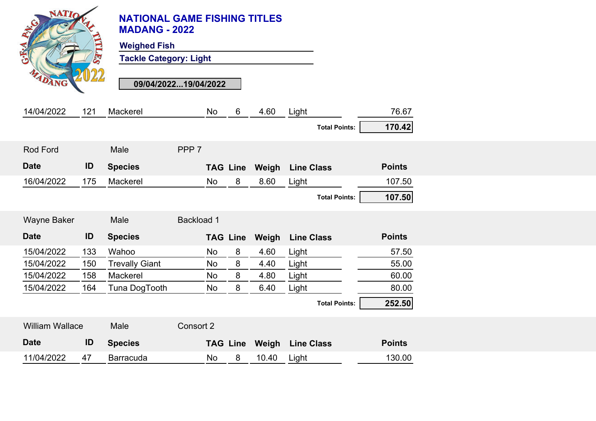|                    | <b>NATIO</b><br>DANG   |     | <b>NATIONAL GAME FISHING TITLES</b><br><b>MADANG - 2022</b><br><b>Weighed Fish</b><br><b>Tackle Category: Light</b><br>09/04/202219/04/2022 |                   |           |                 |       |                         |                      | 76.67         |
|--------------------|------------------------|-----|---------------------------------------------------------------------------------------------------------------------------------------------|-------------------|-----------|-----------------|-------|-------------------------|----------------------|---------------|
| 14/04/2022         |                        | 121 | Mackerel                                                                                                                                    |                   | No        | $6\phantom{1}$  | 4.60  | Light                   | <b>Total Points:</b> | 170.42        |
|                    |                        |     |                                                                                                                                             |                   |           |                 |       |                         |                      |               |
| <b>Rod Ford</b>    |                        |     | Male                                                                                                                                        | PPP <sub>7</sub>  |           |                 |       |                         |                      |               |
| <b>Date</b>        |                        | ID  | <b>Species</b>                                                                                                                              |                   |           | <b>TAG Line</b> |       | <b>Weigh</b> Line Class |                      | <b>Points</b> |
| 16/04/2022         |                        | 175 | Mackerel                                                                                                                                    |                   | No        | 8               | 8.60  | Light                   |                      | 107.50        |
|                    |                        |     |                                                                                                                                             |                   |           |                 |       |                         | <b>Total Points:</b> | 107.50        |
| <b>Wayne Baker</b> |                        |     | Male                                                                                                                                        | <b>Backload 1</b> |           |                 |       |                         |                      |               |
| <b>Date</b>        |                        | ID  | <b>Species</b>                                                                                                                              |                   |           | <b>TAG Line</b> | Weigh | <b>Line Class</b>       |                      | <b>Points</b> |
| 15/04/2022         |                        | 133 | Wahoo                                                                                                                                       |                   | <b>No</b> | 8               | 4.60  | Light                   |                      | 57.50         |
| 15/04/2022         |                        | 150 | <b>Trevally Giant</b>                                                                                                                       |                   | <b>No</b> | 8               | 4.40  | Light                   |                      | 55.00         |
| 15/04/2022         |                        | 158 | Mackerel                                                                                                                                    |                   | No        | 8               | 4.80  | Light                   |                      | 60.00         |
| 15/04/2022         |                        | 164 | Tuna DogTooth                                                                                                                               |                   | No        | 8               | 6.40  | Light                   |                      | 80.00         |
|                    |                        |     |                                                                                                                                             |                   |           |                 |       |                         | <b>Total Points:</b> | 252.50        |
|                    |                        |     |                                                                                                                                             |                   |           |                 |       |                         |                      |               |
|                    | <b>William Wallace</b> |     | Male                                                                                                                                        | Consort 2         |           |                 |       |                         |                      |               |
| <b>Date</b>        |                        | ID  | <b>Species</b>                                                                                                                              |                   |           | <b>TAG Line</b> | Weigh | <b>Line Class</b>       |                      | <b>Points</b> |